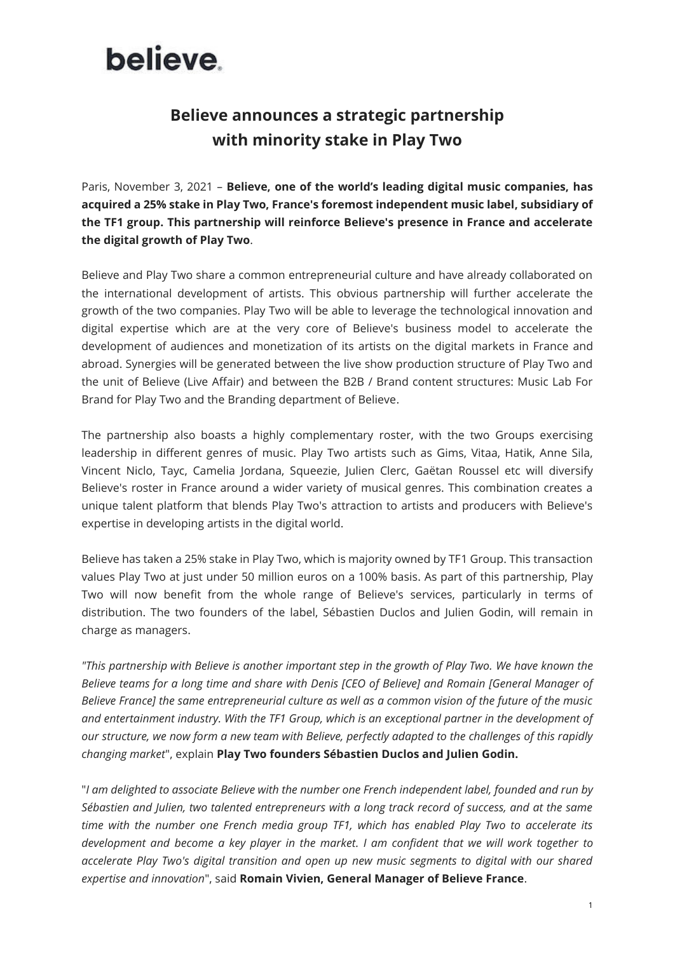# believe.

# **Believe announces a strategic partnership with minority stake in Play Two**

Paris, November 3, 2021 – **Believe, one of the world's leading digital music companies, has acquired a 25% stake in Play Two, France's foremost independent music label, subsidiary of the TF1 group. This partnership will reinforce Believe's presence in France and accelerate the digital growth of Play Two**.

Believe and Play Two share a common entrepreneurial culture and have already collaborated on the international development of artists. This obvious partnership will further accelerate the growth of the two companies. Play Two will be able to leverage the technological innovation and digital expertise which are at the very core of Believe's business model to accelerate the development of audiences and monetization of its artists on the digital markets in France and abroad. Synergies will be generated between the live show production structure of Play Two and the unit of Believe (Live Affair) and between the B2B / Brand content structures: Music Lab For Brand for Play Two and the Branding department of Believe.

The partnership also boasts a highly complementary roster, with the two Groups exercising leadership in different genres of music. Play Two artists such as Gims, Vitaa, Hatik, Anne Sila, Vincent Niclo, Tayc, Camelia Jordana, Squeezie, Julien Clerc, Gaëtan Roussel etc will diversify Believe's roster in France around a wider variety of musical genres. This combination creates a unique talent platform that blends Play Two's attraction to artists and producers with Believe's expertise in developing artists in the digital world.

Believe has taken a 25% stake in Play Two, which is majority owned by TF1 Group. This transaction values Play Two at just under 50 million euros on a 100% basis. As part of this partnership, Play Two will now benefit from the whole range of Believe's services, particularly in terms of distribution. The two founders of the label, Sébastien Duclos and Julien Godin, will remain in charge as managers.

*"This partnership with Believe is another important step in the growth of Play Two. We have known the Believe teams for a long time and share with Denis [CEO of Believe] and Romain [General Manager of Believe France] the same entrepreneurial culture as well as a common vision of the future of the music and entertainment industry. With the TF1 Group, which is an exceptional partner in the development of our structure, we now form a new team with Believe, perfectly adapted to the challenges of this rapidly changing market*", explain **Play Two founders Sébastien Duclos and Julien Godin.**

"*I am delighted to associate Believe with the number one French independent label, founded and run by Sébastien and Julien, two talented entrepreneurs with a long track record of success, and at the same time with the number one French media group TF1, which has enabled Play Two to accelerate its development and become a key player in the market. I am confident that we will work together to accelerate Play Two's digital transition and open up new music segments to digital with our shared expertise and innovation*", said **Romain Vivien, General Manager of Believe France**.